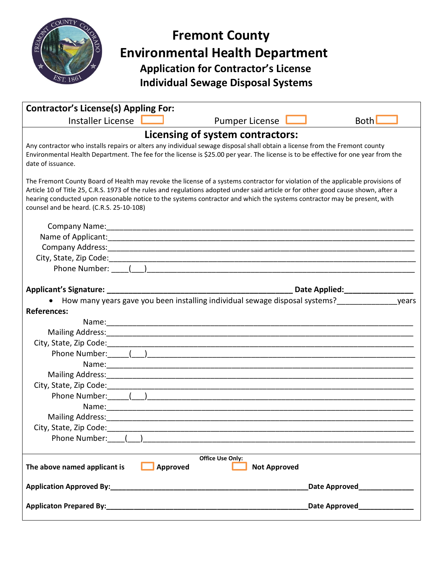

## **Fremont County Environmental Health Department Application for Contractor's License Individual Sewage Disposal Systems**

| <b>Contractor's License(s) Appling For:</b>                                                                                                                                                                                                                                                                                                                                                                                                   |  |
|-----------------------------------------------------------------------------------------------------------------------------------------------------------------------------------------------------------------------------------------------------------------------------------------------------------------------------------------------------------------------------------------------------------------------------------------------|--|
| Installer License<br><b>Both</b><br><b>Pumper License</b>                                                                                                                                                                                                                                                                                                                                                                                     |  |
| Licensing of system contractors:                                                                                                                                                                                                                                                                                                                                                                                                              |  |
| Any contractor who installs repairs or alters any individual sewage disposal shall obtain a license from the Fremont county<br>Environmental Health Department. The fee for the license is \$25.00 per year. The license is to be effective for one year from the<br>date of issuance.                                                                                                                                                        |  |
| The Fremont County Board of Health may revoke the license of a systems contractor for violation of the applicable provisions of<br>Article 10 of Title 25, C.R.S. 1973 of the rules and regulations adopted under said article or for other good cause shown, after a<br>hearing conducted upon reasonable notice to the systems contractor and which the systems contractor may be present, with<br>counsel and be heard. (C.R.S. 25-10-108) |  |
|                                                                                                                                                                                                                                                                                                                                                                                                                                               |  |
|                                                                                                                                                                                                                                                                                                                                                                                                                                               |  |
|                                                                                                                                                                                                                                                                                                                                                                                                                                               |  |
|                                                                                                                                                                                                                                                                                                                                                                                                                                               |  |
| Phone Number: ( )                                                                                                                                                                                                                                                                                                                                                                                                                             |  |
|                                                                                                                                                                                                                                                                                                                                                                                                                                               |  |
|                                                                                                                                                                                                                                                                                                                                                                                                                                               |  |
| • How many years gave you been installing individual sewage disposal systems?<br>years                                                                                                                                                                                                                                                                                                                                                        |  |
| <b>References:</b>                                                                                                                                                                                                                                                                                                                                                                                                                            |  |
|                                                                                                                                                                                                                                                                                                                                                                                                                                               |  |
|                                                                                                                                                                                                                                                                                                                                                                                                                                               |  |
|                                                                                                                                                                                                                                                                                                                                                                                                                                               |  |
|                                                                                                                                                                                                                                                                                                                                                                                                                                               |  |
| Name: 1990 - 1990 - 1990 - 1991 - 1992 - 1993 - 1994 - 1995 - 1996 - 1997 - 1998 - 1999 - 1999 - 1999 - 1999 -                                                                                                                                                                                                                                                                                                                                |  |
|                                                                                                                                                                                                                                                                                                                                                                                                                                               |  |
|                                                                                                                                                                                                                                                                                                                                                                                                                                               |  |
|                                                                                                                                                                                                                                                                                                                                                                                                                                               |  |
| Mailing Address: Mailing Address: Mailing Address: Mailing Address: Mailing Address: Mailing Address: Mail and                                                                                                                                                                                                                                                                                                                                |  |
|                                                                                                                                                                                                                                                                                                                                                                                                                                               |  |
| Phone Number: ( )                                                                                                                                                                                                                                                                                                                                                                                                                             |  |
|                                                                                                                                                                                                                                                                                                                                                                                                                                               |  |
| <b>Office Use Only:</b><br>The above named applicant is<br>Approved<br><b>Not Approved</b>                                                                                                                                                                                                                                                                                                                                                    |  |
| Date Approved <b>Contract Property</b>                                                                                                                                                                                                                                                                                                                                                                                                        |  |
| Date Approved_______________                                                                                                                                                                                                                                                                                                                                                                                                                  |  |